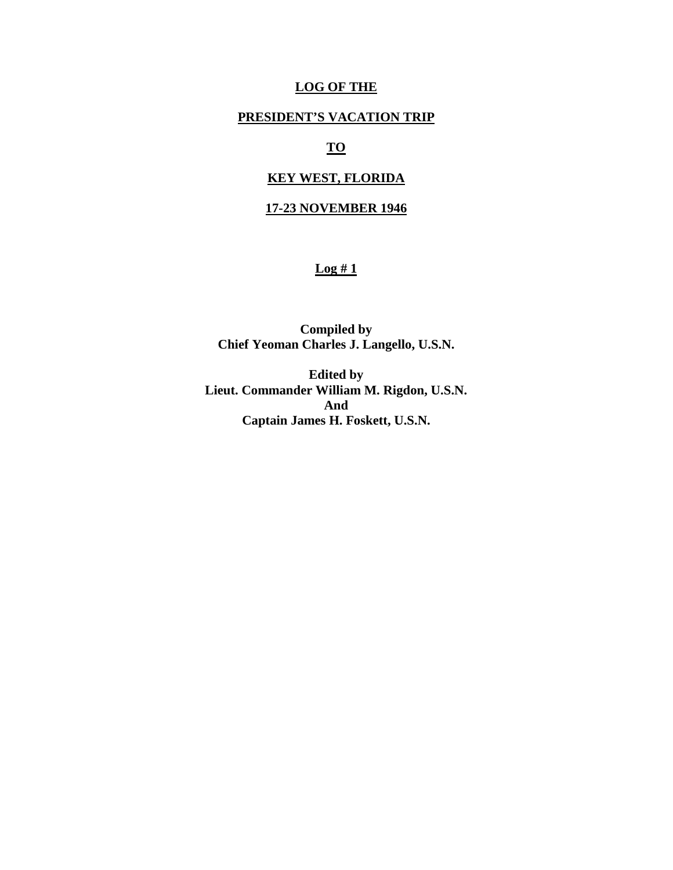### **LOG OF THE**

## **PRESIDENT'S VACATION TRIP**

# **TO**

## **KEY WEST, FLORIDA**

## **17-23 NOVEMBER 1946**

## **Log # 1**

**Compiled by Chief Yeoman Charles J. Langello, U.S.N.** 

**Edited by Lieut. Commander William M. Rigdon, U.S.N. And Captain James H. Foskett, U.S.N.**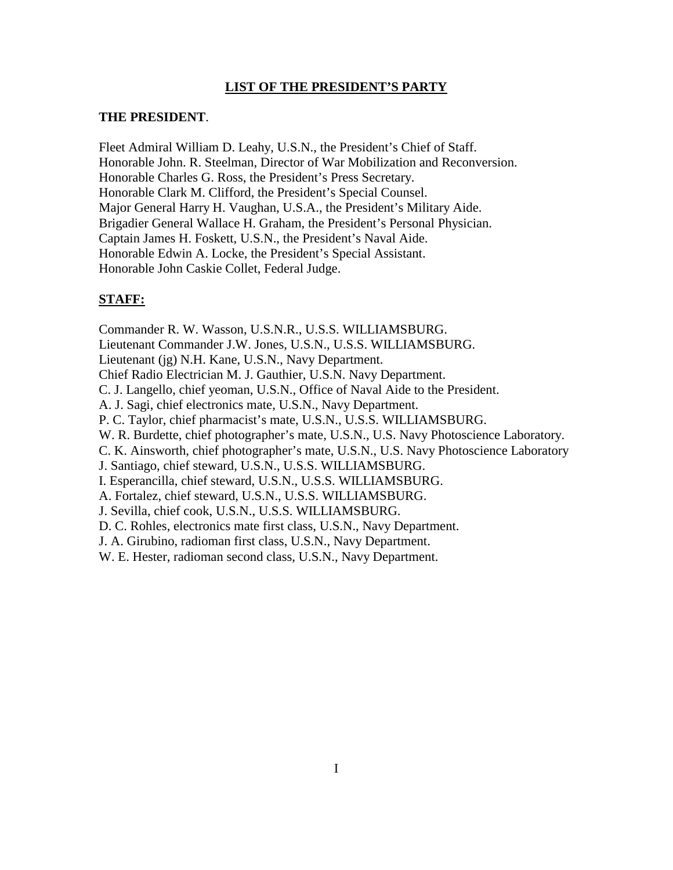### **LIST OF THE PRESIDENT'S PARTY**

#### **THE PRESIDENT**.

Fleet Admiral William D. Leahy, U.S.N., the President's Chief of Staff. Honorable John. R. Steelman, Director of War Mobilization and Reconversion. Honorable Charles G. Ross, the President's Press Secretary. Honorable Clark M. Clifford, the President's Special Counsel. Major General Harry H. Vaughan, U.S.A., the President's Military Aide. Brigadier General Wallace H. Graham, the President's Personal Physician. Captain James H. Foskett, U.S.N., the President's Naval Aide. Honorable Edwin A. Locke, the President's Special Assistant. Honorable John Caskie Collet, Federal Judge.

### **STAFF:**

Commander R. W. Wasson, U.S.N.R., U.S.S. WILLIAMSBURG. Lieutenant Commander J.W. Jones, U.S.N., U.S.S. WILLIAMSBURG. Lieutenant (jg) N.H. Kane, U.S.N., Navy Department. Chief Radio Electrician M. J. Gauthier, U.S.N. Navy Department. C. J. Langello, chief yeoman, U.S.N., Office of Naval Aide to the President. A. J. Sagi, chief electronics mate, U.S.N., Navy Department. P. C. Taylor, chief pharmacist's mate, U.S.N., U.S.S. WILLIAMSBURG. W. R. Burdette, chief photographer's mate, U.S.N., U.S. Navy Photoscience Laboratory. C. K. Ainsworth, chief photographer's mate, U.S.N., U.S. Navy Photoscience Laboratory J. Santiago, chief steward, U.S.N., U.S.S. WILLIAMSBURG. I. Esperancilla, chief steward, U.S.N., U.S.S. WILLIAMSBURG. A. Fortalez, chief steward, U.S.N., U.S.S. WILLIAMSBURG. J. Sevilla, chief cook, U.S.N., U.S.S. WILLIAMSBURG. D. C. Rohles, electronics mate first class, U.S.N., Navy Department. J. A. Girubino, radioman first class, U.S.N., Navy Department. W. E. Hester, radioman second class, U.S.N., Navy Department.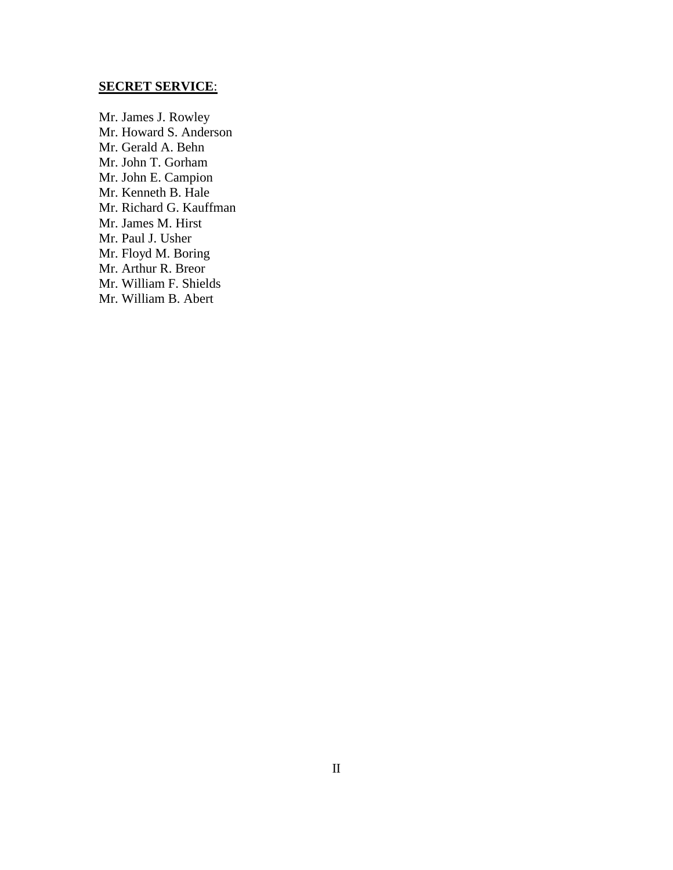## **SECRET SERVICE**:

Mr. James J. Rowley Mr. Howard S. Anderson Mr. Gerald A. Behn Mr. John T. Gorham Mr. John E. Campion Mr. Kenneth B. Hale Mr. Richard G. Kauffman Mr. James M. Hirst Mr. Paul J. Usher Mr. Floyd M. Boring Mr. Arthur R. Breor Mr. William F. Shields Mr. William B. Abert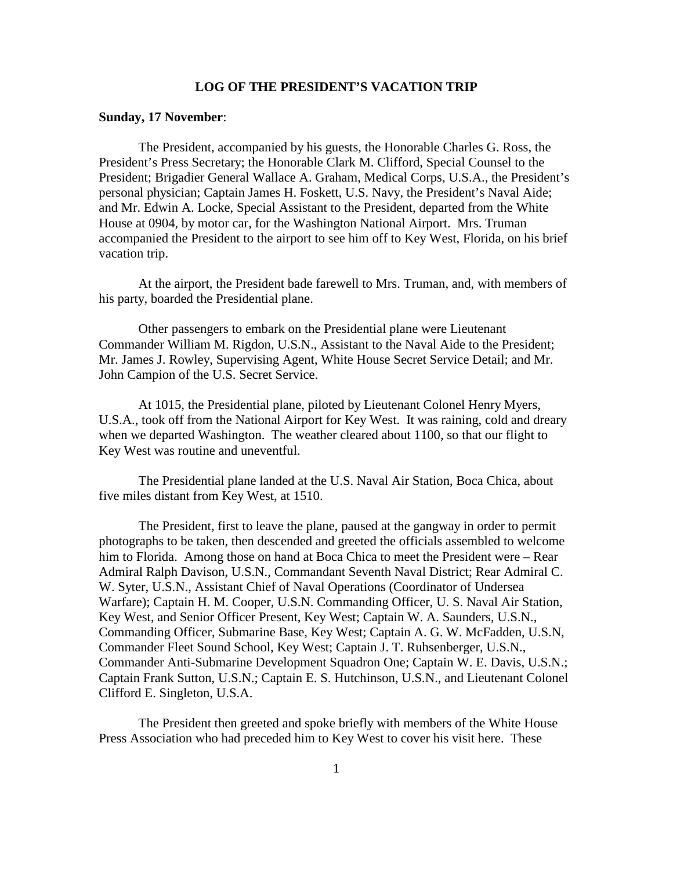#### **LOG OF THE PRESIDENT'S VACATION TRIP**

#### **Sunday, 17 November**:

 The President, accompanied by his guests, the Honorable Charles G. Ross, the President's Press Secretary; the Honorable Clark M. Clifford, Special Counsel to the President; Brigadier General Wallace A. Graham, Medical Corps, U.S.A., the President's personal physician; Captain James H. Foskett, U.S. Navy, the President's Naval Aide; and Mr. Edwin A. Locke, Special Assistant to the President, departed from the White House at 0904, by motor car, for the Washington National Airport. Mrs. Truman accompanied the President to the airport to see him off to Key West, Florida, on his brief vacation trip.

 At the airport, the President bade farewell to Mrs. Truman, and, with members of his party, boarded the Presidential plane.

 Other passengers to embark on the Presidential plane were Lieutenant Commander William M. Rigdon, U.S.N., Assistant to the Naval Aide to the President; Mr. James J. Rowley, Supervising Agent, White House Secret Service Detail; and Mr. John Campion of the U.S. Secret Service.

 At 1015, the Presidential plane, piloted by Lieutenant Colonel Henry Myers, U.S.A., took off from the National Airport for Key West. It was raining, cold and dreary when we departed Washington. The weather cleared about 1100, so that our flight to Key West was routine and uneventful.

 The Presidential plane landed at the U.S. Naval Air Station, Boca Chica, about five miles distant from Key West, at 1510.

 The President, first to leave the plane, paused at the gangway in order to permit photographs to be taken, then descended and greeted the officials assembled to welcome him to Florida. Among those on hand at Boca Chica to meet the President were – Rear Admiral Ralph Davison, U.S.N., Commandant Seventh Naval District; Rear Admiral C. W. Syter, U.S.N., Assistant Chief of Naval Operations (Coordinator of Undersea Warfare); Captain H. M. Cooper, U.S.N. Commanding Officer, U. S. Naval Air Station, Key West, and Senior Officer Present, Key West; Captain W. A. Saunders, U.S.N., Commanding Officer, Submarine Base, Key West; Captain A. G. W. McFadden, U.S.N, Commander Fleet Sound School, Key West; Captain J. T. Ruhsenberger, U.S.N., Commander Anti-Submarine Development Squadron One; Captain W. E. Davis, U.S.N.; Captain Frank Sutton, U.S.N.; Captain E. S. Hutchinson, U.S.N., and Lieutenant Colonel Clifford E. Singleton, U.S.A.

 The President then greeted and spoke briefly with members of the White House Press Association who had preceded him to Key West to cover his visit here. These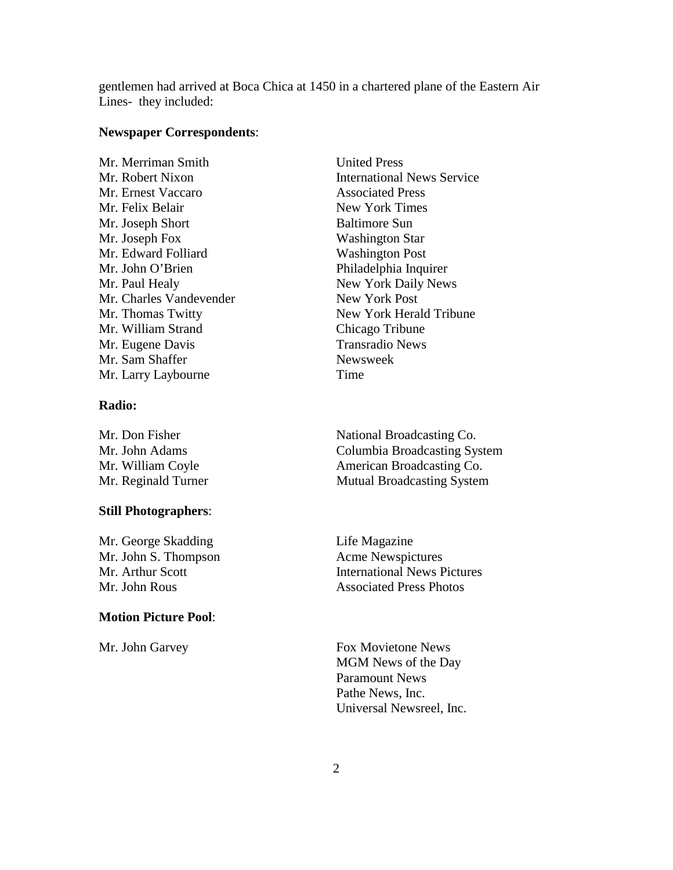gentlemen had arrived at Boca Chica at 1450 in a chartered plane of the Eastern Air Lines- they included:

#### **Newspaper Correspondents**:

Mr. Merriman Smith United Press Mr. Ernest Vaccaro Associated Press Mr. Felix Belair New York Times Mr. Joseph Short Baltimore Sun Mr. Joseph Fox Washington Star Mr. Edward Folliard Washington Post Mr. John O'Brien Philadelphia Inquirer Mr. Paul Healy **New York Daily News** Mr. Charles Vandevender New York Post Mr. William Strand Chicago Tribune Mr. Eugene Davis Transradio News Mr. Sam Shaffer Newsweek Mr. Larry Laybourne Time

### **Radio:**

#### **Still Photographers**:

Mr. George Skadding Life Magazine Mr. John S. Thompson Acme Newspictures

### **Motion Picture Pool**:

Mr. Robert Nixon International News Service Mr. Thomas Twitty New York Herald Tribune

Mr. Don Fisher National Broadcasting Co. Mr. John Adams Columbia Broadcasting System Mr. William Coyle **American Broadcasting Co.** Mr. Reginald Turner Mutual Broadcasting System

Mr. Arthur Scott **International News Pictures** Mr. John Rous **Associated Press Photos** 

Mr. John Garvey **Fox Movietone News**  MGM News of the Day Paramount News Pathe News, Inc. Universal Newsreel, Inc.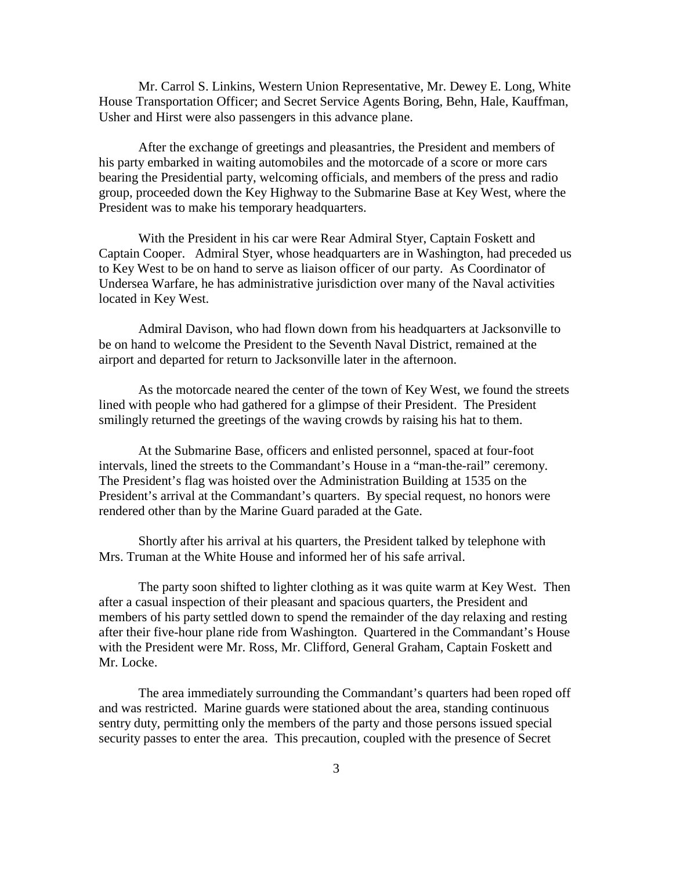Mr. Carrol S. Linkins, Western Union Representative, Mr. Dewey E. Long, White House Transportation Officer; and Secret Service Agents Boring, Behn, Hale, Kauffman, Usher and Hirst were also passengers in this advance plane.

 After the exchange of greetings and pleasantries, the President and members of his party embarked in waiting automobiles and the motorcade of a score or more cars bearing the Presidential party, welcoming officials, and members of the press and radio group, proceeded down the Key Highway to the Submarine Base at Key West, where the President was to make his temporary headquarters.

 With the President in his car were Rear Admiral Styer, Captain Foskett and Captain Cooper. Admiral Styer, whose headquarters are in Washington, had preceded us to Key West to be on hand to serve as liaison officer of our party. As Coordinator of Undersea Warfare, he has administrative jurisdiction over many of the Naval activities located in Key West.

 Admiral Davison, who had flown down from his headquarters at Jacksonville to be on hand to welcome the President to the Seventh Naval District, remained at the airport and departed for return to Jacksonville later in the afternoon.

 As the motorcade neared the center of the town of Key West, we found the streets lined with people who had gathered for a glimpse of their President. The President smilingly returned the greetings of the waving crowds by raising his hat to them.

 At the Submarine Base, officers and enlisted personnel, spaced at four-foot intervals, lined the streets to the Commandant's House in a "man-the-rail" ceremony. The President's flag was hoisted over the Administration Building at 1535 on the President's arrival at the Commandant's quarters. By special request, no honors were rendered other than by the Marine Guard paraded at the Gate.

 Shortly after his arrival at his quarters, the President talked by telephone with Mrs. Truman at the White House and informed her of his safe arrival.

 The party soon shifted to lighter clothing as it was quite warm at Key West. Then after a casual inspection of their pleasant and spacious quarters, the President and members of his party settled down to spend the remainder of the day relaxing and resting after their five-hour plane ride from Washington. Quartered in the Commandant's House with the President were Mr. Ross, Mr. Clifford, General Graham, Captain Foskett and Mr. Locke.

 The area immediately surrounding the Commandant's quarters had been roped off and was restricted. Marine guards were stationed about the area, standing continuous sentry duty, permitting only the members of the party and those persons issued special security passes to enter the area. This precaution, coupled with the presence of Secret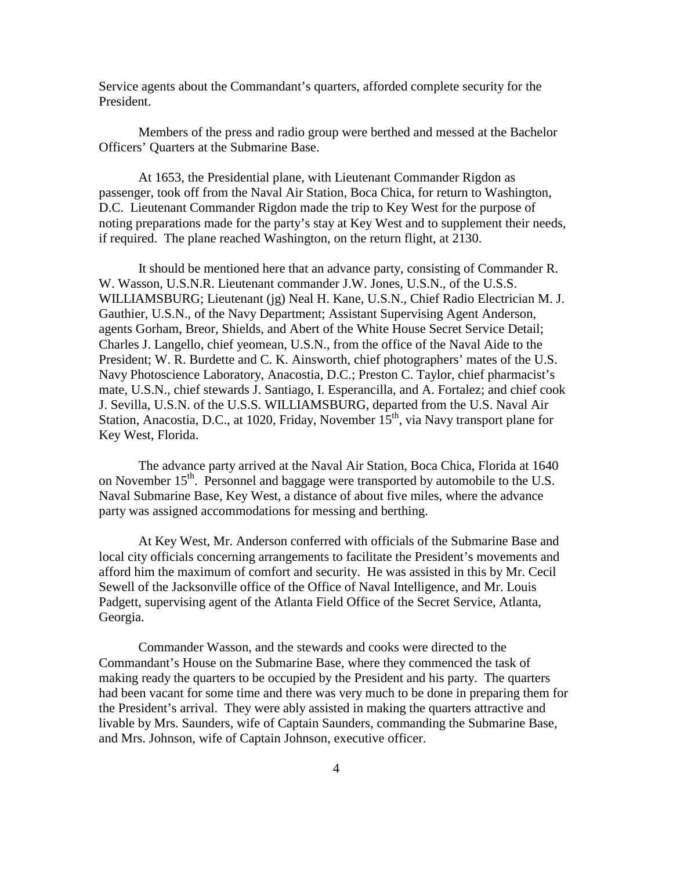Service agents about the Commandant's quarters, afforded complete security for the President.

 Members of the press and radio group were berthed and messed at the Bachelor Officers' Quarters at the Submarine Base.

 At 1653, the Presidential plane, with Lieutenant Commander Rigdon as passenger, took off from the Naval Air Station, Boca Chica, for return to Washington, D.C. Lieutenant Commander Rigdon made the trip to Key West for the purpose of noting preparations made for the party's stay at Key West and to supplement their needs, if required. The plane reached Washington, on the return flight, at 2130.

 It should be mentioned here that an advance party, consisting of Commander R. W. Wasson, U.S.N.R. Lieutenant commander J.W. Jones, U.S.N., of the U.S.S. WILLIAMSBURG; Lieutenant (jg) Neal H. Kane, U.S.N., Chief Radio Electrician M. J. Gauthier, U.S.N., of the Navy Department; Assistant Supervising Agent Anderson, agents Gorham, Breor, Shields, and Abert of the White House Secret Service Detail; Charles J. Langello, chief yeomean, U.S.N., from the office of the Naval Aide to the President; W. R. Burdette and C. K. Ainsworth, chief photographers' mates of the U.S. Navy Photoscience Laboratory, Anacostia, D.C.; Preston C. Taylor, chief pharmacist's mate, U.S.N., chief stewards J. Santiago, I. Esperancilla, and A. Fortalez; and chief cook J. Sevilla, U.S.N. of the U.S.S. WILLIAMSBURG, departed from the U.S. Naval Air Station, Anacostia, D.C., at 1020, Friday, November  $15<sup>th</sup>$ , via Navy transport plane for Key West, Florida.

 The advance party arrived at the Naval Air Station, Boca Chica, Florida at 1640 on November  $15<sup>th</sup>$ . Personnel and baggage were transported by automobile to the U.S. Naval Submarine Base, Key West, a distance of about five miles, where the advance party was assigned accommodations for messing and berthing.

 At Key West, Mr. Anderson conferred with officials of the Submarine Base and local city officials concerning arrangements to facilitate the President's movements and afford him the maximum of comfort and security. He was assisted in this by Mr. Cecil Sewell of the Jacksonville office of the Office of Naval Intelligence, and Mr. Louis Padgett, supervising agent of the Atlanta Field Office of the Secret Service, Atlanta, Georgia.

 Commander Wasson, and the stewards and cooks were directed to the Commandant's House on the Submarine Base, where they commenced the task of making ready the quarters to be occupied by the President and his party. The quarters had been vacant for some time and there was very much to be done in preparing them for the President's arrival. They were ably assisted in making the quarters attractive and livable by Mrs. Saunders, wife of Captain Saunders, commanding the Submarine Base, and Mrs. Johnson, wife of Captain Johnson, executive officer.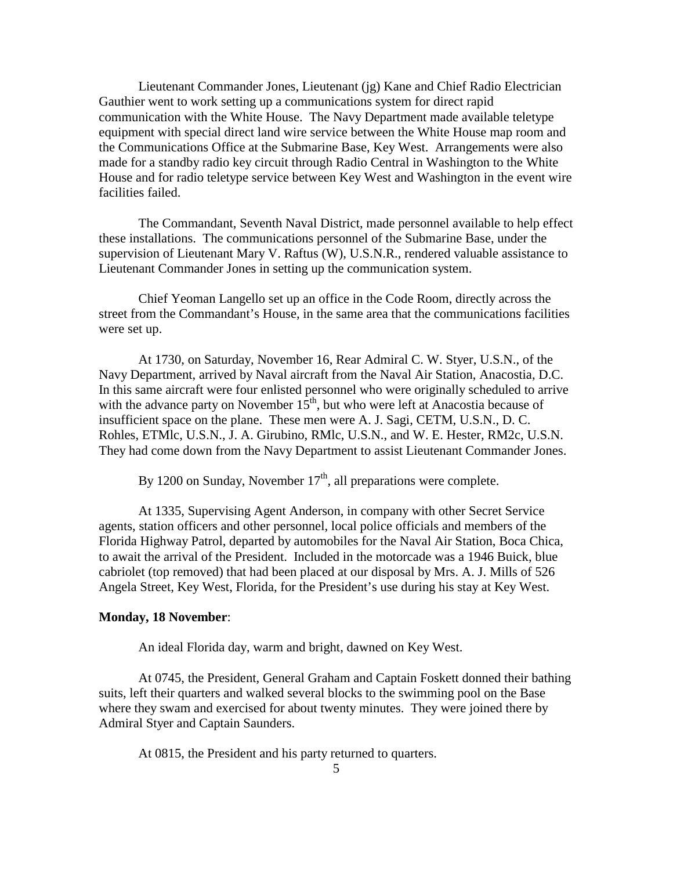Lieutenant Commander Jones, Lieutenant (jg) Kane and Chief Radio Electrician Gauthier went to work setting up a communications system for direct rapid communication with the White House. The Navy Department made available teletype equipment with special direct land wire service between the White House map room and the Communications Office at the Submarine Base, Key West. Arrangements were also made for a standby radio key circuit through Radio Central in Washington to the White House and for radio teletype service between Key West and Washington in the event wire facilities failed.

 The Commandant, Seventh Naval District, made personnel available to help effect these installations. The communications personnel of the Submarine Base, under the supervision of Lieutenant Mary V. Raftus (W), U.S.N.R., rendered valuable assistance to Lieutenant Commander Jones in setting up the communication system.

 Chief Yeoman Langello set up an office in the Code Room, directly across the street from the Commandant's House, in the same area that the communications facilities were set up.

 At 1730, on Saturday, November 16, Rear Admiral C. W. Styer, U.S.N., of the Navy Department, arrived by Naval aircraft from the Naval Air Station, Anacostia, D.C. In this same aircraft were four enlisted personnel who were originally scheduled to arrive with the advance party on November  $15<sup>th</sup>$ , but who were left at Anacostia because of insufficient space on the plane. These men were A. J. Sagi, CETM, U.S.N., D. C. Rohles, ETMlc, U.S.N., J. A. Girubino, RMlc, U.S.N., and W. E. Hester, RM2c, U.S.N. They had come down from the Navy Department to assist Lieutenant Commander Jones.

By 1200 on Sunday, November  $17<sup>th</sup>$ , all preparations were complete.

 At 1335, Supervising Agent Anderson, in company with other Secret Service agents, station officers and other personnel, local police officials and members of the Florida Highway Patrol, departed by automobiles for the Naval Air Station, Boca Chica, to await the arrival of the President. Included in the motorcade was a 1946 Buick, blue cabriolet (top removed) that had been placed at our disposal by Mrs. A. J. Mills of 526 Angela Street, Key West, Florida, for the President's use during his stay at Key West.

#### **Monday, 18 November**:

An ideal Florida day, warm and bright, dawned on Key West.

 At 0745, the President, General Graham and Captain Foskett donned their bathing suits, left their quarters and walked several blocks to the swimming pool on the Base where they swam and exercised for about twenty minutes. They were joined there by Admiral Styer and Captain Saunders.

At 0815, the President and his party returned to quarters.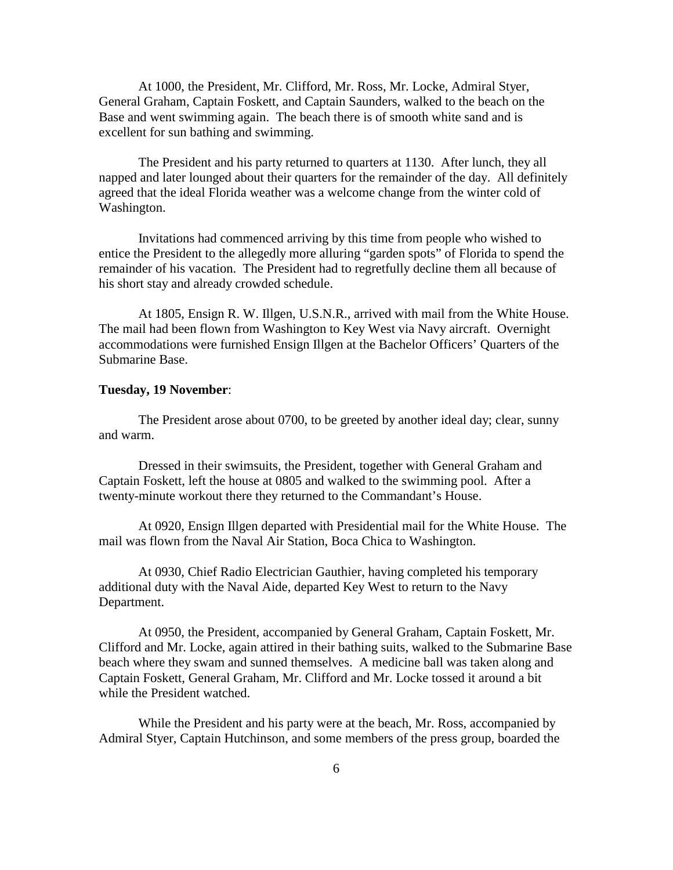At 1000, the President, Mr. Clifford, Mr. Ross, Mr. Locke, Admiral Styer, General Graham, Captain Foskett, and Captain Saunders, walked to the beach on the Base and went swimming again. The beach there is of smooth white sand and is excellent for sun bathing and swimming.

 The President and his party returned to quarters at 1130. After lunch, they all napped and later lounged about their quarters for the remainder of the day. All definitely agreed that the ideal Florida weather was a welcome change from the winter cold of Washington.

 Invitations had commenced arriving by this time from people who wished to entice the President to the allegedly more alluring "garden spots" of Florida to spend the remainder of his vacation. The President had to regretfully decline them all because of his short stay and already crowded schedule.

 At 1805, Ensign R. W. Illgen, U.S.N.R., arrived with mail from the White House. The mail had been flown from Washington to Key West via Navy aircraft. Overnight accommodations were furnished Ensign Illgen at the Bachelor Officers' Quarters of the Submarine Base.

#### **Tuesday, 19 November**:

 The President arose about 0700, to be greeted by another ideal day; clear, sunny and warm.

 Dressed in their swimsuits, the President, together with General Graham and Captain Foskett, left the house at 0805 and walked to the swimming pool. After a twenty-minute workout there they returned to the Commandant's House.

 At 0920, Ensign Illgen departed with Presidential mail for the White House. The mail was flown from the Naval Air Station, Boca Chica to Washington.

 At 0930, Chief Radio Electrician Gauthier, having completed his temporary additional duty with the Naval Aide, departed Key West to return to the Navy Department.

 At 0950, the President, accompanied by General Graham, Captain Foskett, Mr. Clifford and Mr. Locke, again attired in their bathing suits, walked to the Submarine Base beach where they swam and sunned themselves. A medicine ball was taken along and Captain Foskett, General Graham, Mr. Clifford and Mr. Locke tossed it around a bit while the President watched.

 While the President and his party were at the beach, Mr. Ross, accompanied by Admiral Styer, Captain Hutchinson, and some members of the press group, boarded the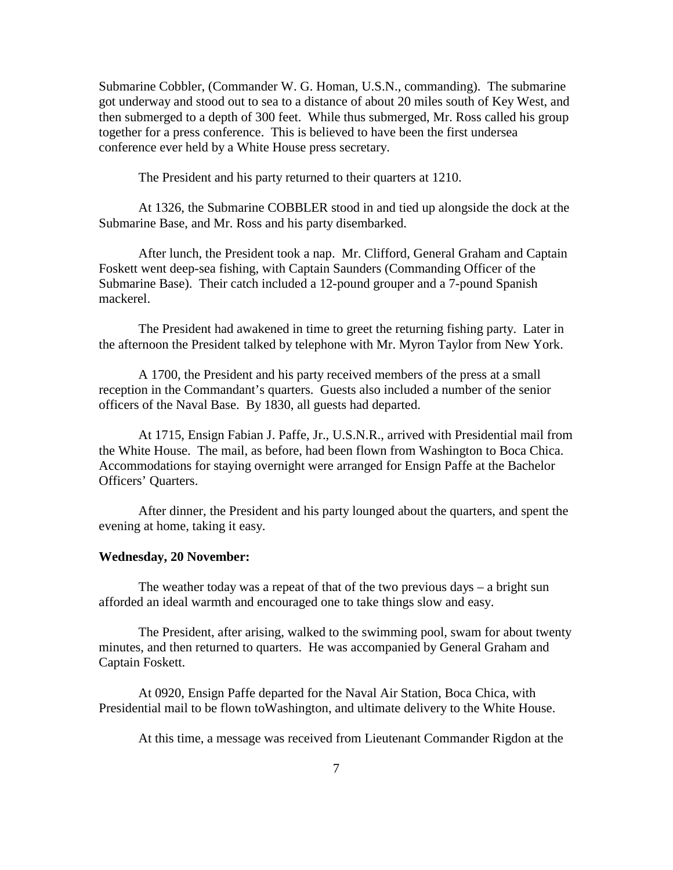Submarine Cobbler, (Commander W. G. Homan, U.S.N., commanding). The submarine got underway and stood out to sea to a distance of about 20 miles south of Key West, and then submerged to a depth of 300 feet. While thus submerged, Mr. Ross called his group together for a press conference. This is believed to have been the first undersea conference ever held by a White House press secretary.

The President and his party returned to their quarters at 1210.

 At 1326, the Submarine COBBLER stood in and tied up alongside the dock at the Submarine Base, and Mr. Ross and his party disembarked.

 After lunch, the President took a nap. Mr. Clifford, General Graham and Captain Foskett went deep-sea fishing, with Captain Saunders (Commanding Officer of the Submarine Base). Their catch included a 12-pound grouper and a 7-pound Spanish mackerel.

 The President had awakened in time to greet the returning fishing party. Later in the afternoon the President talked by telephone with Mr. Myron Taylor from New York.

 A 1700, the President and his party received members of the press at a small reception in the Commandant's quarters. Guests also included a number of the senior officers of the Naval Base. By 1830, all guests had departed.

 At 1715, Ensign Fabian J. Paffe, Jr., U.S.N.R., arrived with Presidential mail from the White House. The mail, as before, had been flown from Washington to Boca Chica. Accommodations for staying overnight were arranged for Ensign Paffe at the Bachelor Officers' Quarters.

 After dinner, the President and his party lounged about the quarters, and spent the evening at home, taking it easy.

### **Wednesday, 20 November:**

The weather today was a repeat of that of the two previous days  $-$  a bright sun afforded an ideal warmth and encouraged one to take things slow and easy.

 The President, after arising, walked to the swimming pool, swam for about twenty minutes, and then returned to quarters. He was accompanied by General Graham and Captain Foskett.

 At 0920, Ensign Paffe departed for the Naval Air Station, Boca Chica, with Presidential mail to be flown toWashington, and ultimate delivery to the White House.

At this time, a message was received from Lieutenant Commander Rigdon at the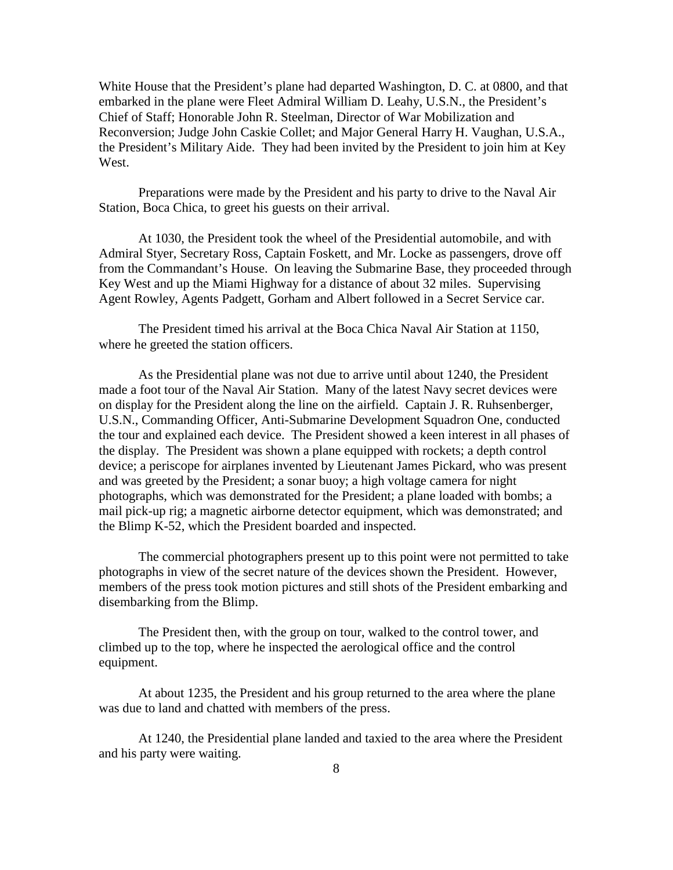White House that the President's plane had departed Washington, D. C. at 0800, and that embarked in the plane were Fleet Admiral William D. Leahy, U.S.N., the President's Chief of Staff; Honorable John R. Steelman, Director of War Mobilization and Reconversion; Judge John Caskie Collet; and Major General Harry H. Vaughan, U.S.A., the President's Military Aide. They had been invited by the President to join him at Key West.

 Preparations were made by the President and his party to drive to the Naval Air Station, Boca Chica, to greet his guests on their arrival.

 At 1030, the President took the wheel of the Presidential automobile, and with Admiral Styer, Secretary Ross, Captain Foskett, and Mr. Locke as passengers, drove off from the Commandant's House. On leaving the Submarine Base, they proceeded through Key West and up the Miami Highway for a distance of about 32 miles. Supervising Agent Rowley, Agents Padgett, Gorham and Albert followed in a Secret Service car.

 The President timed his arrival at the Boca Chica Naval Air Station at 1150, where he greeted the station officers.

 As the Presidential plane was not due to arrive until about 1240, the President made a foot tour of the Naval Air Station. Many of the latest Navy secret devices were on display for the President along the line on the airfield. Captain J. R. Ruhsenberger, U.S.N., Commanding Officer, Anti-Submarine Development Squadron One, conducted the tour and explained each device. The President showed a keen interest in all phases of the display. The President was shown a plane equipped with rockets; a depth control device; a periscope for airplanes invented by Lieutenant James Pickard, who was present and was greeted by the President; a sonar buoy; a high voltage camera for night photographs, which was demonstrated for the President; a plane loaded with bombs; a mail pick-up rig; a magnetic airborne detector equipment, which was demonstrated; and the Blimp K-52, which the President boarded and inspected.

 The commercial photographers present up to this point were not permitted to take photographs in view of the secret nature of the devices shown the President. However, members of the press took motion pictures and still shots of the President embarking and disembarking from the Blimp.

 The President then, with the group on tour, walked to the control tower, and climbed up to the top, where he inspected the aerological office and the control equipment.

 At about 1235, the President and his group returned to the area where the plane was due to land and chatted with members of the press.

 At 1240, the Presidential plane landed and taxied to the area where the President and his party were waiting.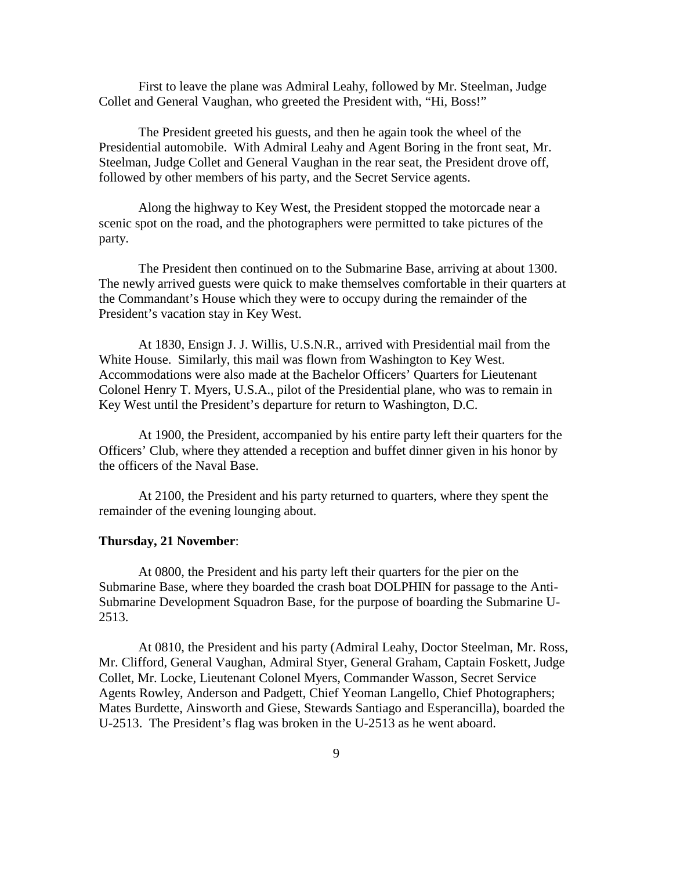First to leave the plane was Admiral Leahy, followed by Mr. Steelman, Judge Collet and General Vaughan, who greeted the President with, "Hi, Boss!"

 The President greeted his guests, and then he again took the wheel of the Presidential automobile. With Admiral Leahy and Agent Boring in the front seat, Mr. Steelman, Judge Collet and General Vaughan in the rear seat, the President drove off, followed by other members of his party, and the Secret Service agents.

 Along the highway to Key West, the President stopped the motorcade near a scenic spot on the road, and the photographers were permitted to take pictures of the party.

 The President then continued on to the Submarine Base, arriving at about 1300. The newly arrived guests were quick to make themselves comfortable in their quarters at the Commandant's House which they were to occupy during the remainder of the President's vacation stay in Key West.

 At 1830, Ensign J. J. Willis, U.S.N.R., arrived with Presidential mail from the White House. Similarly, this mail was flown from Washington to Key West. Accommodations were also made at the Bachelor Officers' Quarters for Lieutenant Colonel Henry T. Myers, U.S.A., pilot of the Presidential plane, who was to remain in Key West until the President's departure for return to Washington, D.C.

 At 1900, the President, accompanied by his entire party left their quarters for the Officers' Club, where they attended a reception and buffet dinner given in his honor by the officers of the Naval Base.

 At 2100, the President and his party returned to quarters, where they spent the remainder of the evening lounging about.

#### **Thursday, 21 November**:

 At 0800, the President and his party left their quarters for the pier on the Submarine Base, where they boarded the crash boat DOLPHIN for passage to the Anti-Submarine Development Squadron Base, for the purpose of boarding the Submarine U-2513.

 At 0810, the President and his party (Admiral Leahy, Doctor Steelman, Mr. Ross, Mr. Clifford, General Vaughan, Admiral Styer, General Graham, Captain Foskett, Judge Collet, Mr. Locke, Lieutenant Colonel Myers, Commander Wasson, Secret Service Agents Rowley, Anderson and Padgett, Chief Yeoman Langello, Chief Photographers; Mates Burdette, Ainsworth and Giese, Stewards Santiago and Esperancilla), boarded the U-2513. The President's flag was broken in the U-2513 as he went aboard.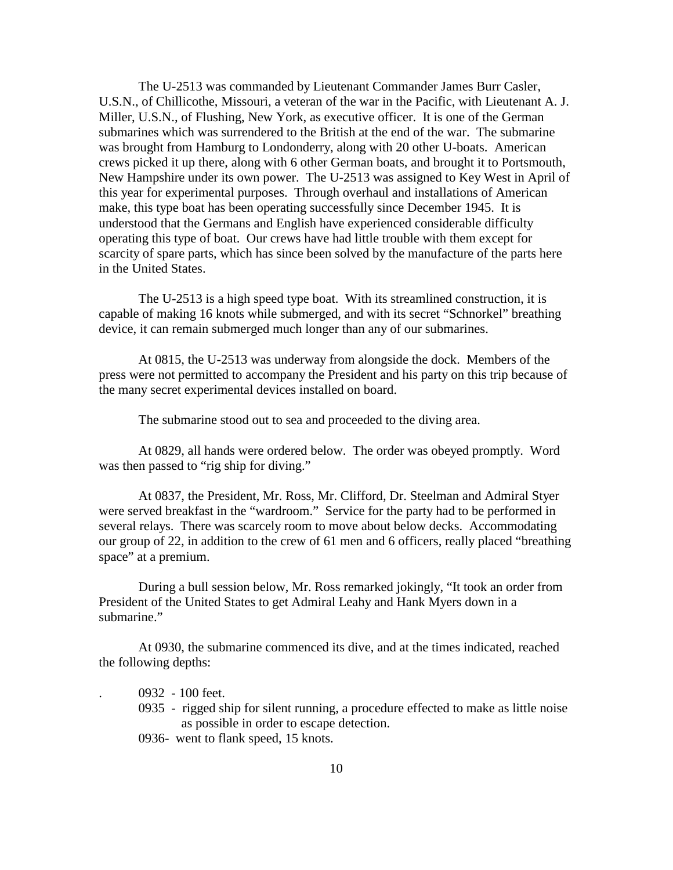The U-2513 was commanded by Lieutenant Commander James Burr Casler, U.S.N., of Chillicothe, Missouri, a veteran of the war in the Pacific, with Lieutenant A. J. Miller, U.S.N., of Flushing, New York, as executive officer. It is one of the German submarines which was surrendered to the British at the end of the war. The submarine was brought from Hamburg to Londonderry, along with 20 other U-boats. American crews picked it up there, along with 6 other German boats, and brought it to Portsmouth, New Hampshire under its own power. The U-2513 was assigned to Key West in April of this year for experimental purposes. Through overhaul and installations of American make, this type boat has been operating successfully since December 1945. It is understood that the Germans and English have experienced considerable difficulty operating this type of boat. Our crews have had little trouble with them except for scarcity of spare parts, which has since been solved by the manufacture of the parts here in the United States.

 The U-2513 is a high speed type boat. With its streamlined construction, it is capable of making 16 knots while submerged, and with its secret "Schnorkel" breathing device, it can remain submerged much longer than any of our submarines.

 At 0815, the U-2513 was underway from alongside the dock. Members of the press were not permitted to accompany the President and his party on this trip because of the many secret experimental devices installed on board.

The submarine stood out to sea and proceeded to the diving area.

 At 0829, all hands were ordered below. The order was obeyed promptly. Word was then passed to "rig ship for diving."

 At 0837, the President, Mr. Ross, Mr. Clifford, Dr. Steelman and Admiral Styer were served breakfast in the "wardroom." Service for the party had to be performed in several relays. There was scarcely room to move about below decks. Accommodating our group of 22, in addition to the crew of 61 men and 6 officers, really placed "breathing space" at a premium.

 During a bull session below, Mr. Ross remarked jokingly, "It took an order from President of the United States to get Admiral Leahy and Hank Myers down in a submarine."

 At 0930, the submarine commenced its dive, and at the times indicated, reached the following depths:

- . 0932 100 feet.
- 0935 rigged ship for silent running, a procedure effected to make as little noise as possible in order to escape detection.
- 0936- went to flank speed, 15 knots.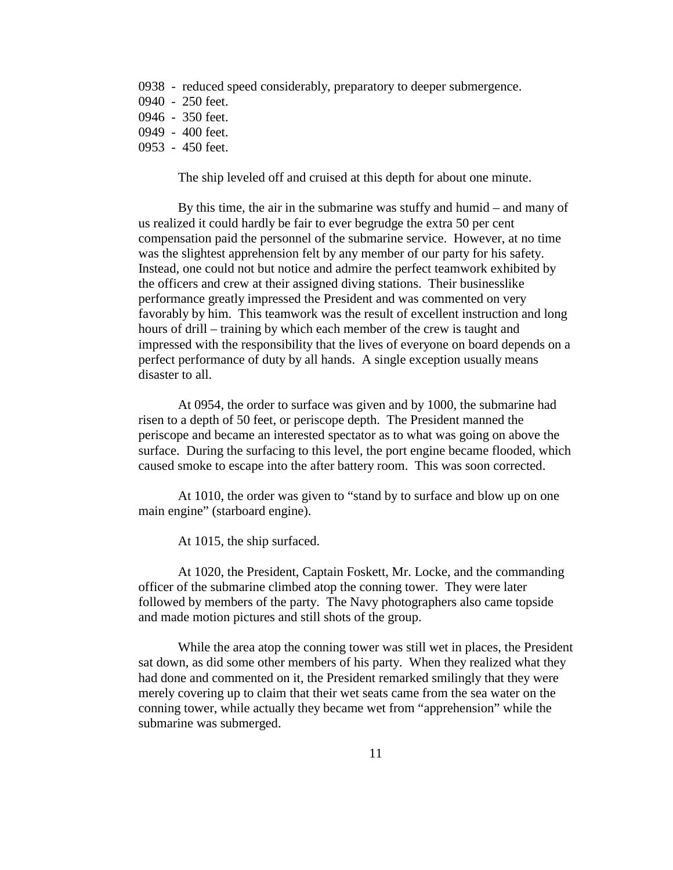- 0938 reduced speed considerably, preparatory to deeper submergence.
- 0940 250 feet.
- 0946 350 feet.
- 0949 400 feet.
- 0953 450 feet.

The ship leveled off and cruised at this depth for about one minute.

 By this time, the air in the submarine was stuffy and humid – and many of us realized it could hardly be fair to ever begrudge the extra 50 per cent compensation paid the personnel of the submarine service. However, at no time was the slightest apprehension felt by any member of our party for his safety. Instead, one could not but notice and admire the perfect teamwork exhibited by the officers and crew at their assigned diving stations. Their businesslike performance greatly impressed the President and was commented on very favorably by him. This teamwork was the result of excellent instruction and long hours of drill – training by which each member of the crew is taught and impressed with the responsibility that the lives of everyone on board depends on a perfect performance of duty by all hands. A single exception usually means disaster to all.

At 0954, the order to surface was given and by 1000, the submarine had risen to a depth of 50 feet, or periscope depth. The President manned the periscope and became an interested spectator as to what was going on above the surface. During the surfacing to this level, the port engine became flooded, which caused smoke to escape into the after battery room. This was soon corrected.

At 1010, the order was given to "stand by to surface and blow up on one main engine" (starboard engine).

At 1015, the ship surfaced.

At 1020, the President, Captain Foskett, Mr. Locke, and the commanding officer of the submarine climbed atop the conning tower. They were later followed by members of the party. The Navy photographers also came topside and made motion pictures and still shots of the group.

While the area atop the conning tower was still wet in places, the President sat down, as did some other members of his party. When they realized what they had done and commented on it, the President remarked smilingly that they were merely covering up to claim that their wet seats came from the sea water on the conning tower, while actually they became wet from "apprehension" while the submarine was submerged.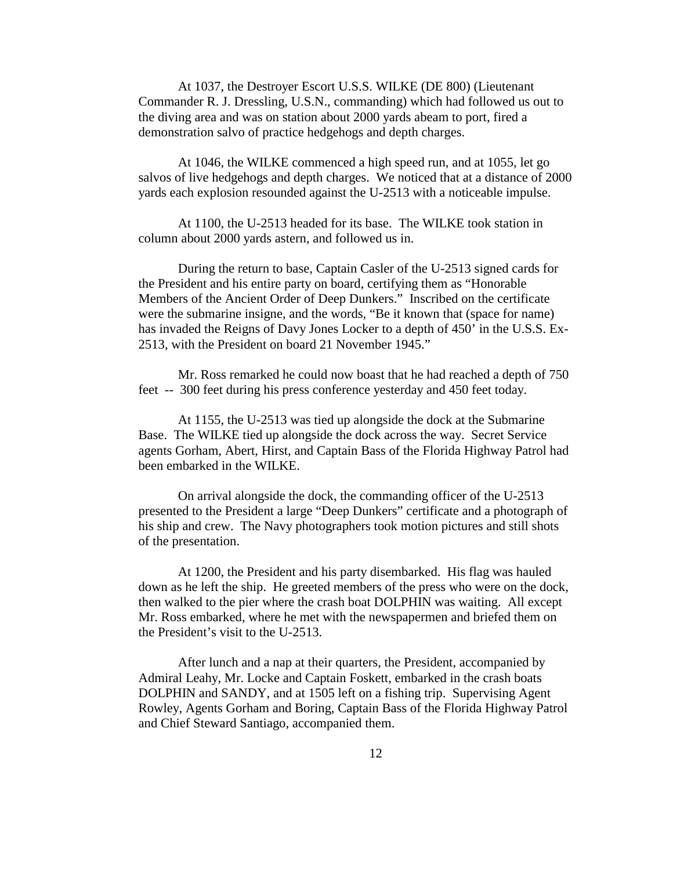At 1037, the Destroyer Escort U.S.S. WILKE (DE 800) (Lieutenant Commander R. J. Dressling, U.S.N., commanding) which had followed us out to the diving area and was on station about 2000 yards abeam to port, fired a demonstration salvo of practice hedgehogs and depth charges.

At 1046, the WILKE commenced a high speed run, and at 1055, let go salvos of live hedgehogs and depth charges. We noticed that at a distance of 2000 yards each explosion resounded against the U-2513 with a noticeable impulse.

At 1100, the U-2513 headed for its base. The WILKE took station in column about 2000 yards astern, and followed us in.

During the return to base, Captain Casler of the U-2513 signed cards for the President and his entire party on board, certifying them as "Honorable Members of the Ancient Order of Deep Dunkers." Inscribed on the certificate were the submarine insigne, and the words, "Be it known that (space for name) has invaded the Reigns of Davy Jones Locker to a depth of 450' in the U.S.S. Ex-2513, with the President on board 21 November 1945."

Mr. Ross remarked he could now boast that he had reached a depth of 750 feet -- 300 feet during his press conference yesterday and 450 feet today.

At 1155, the U-2513 was tied up alongside the dock at the Submarine Base. The WILKE tied up alongside the dock across the way. Secret Service agents Gorham, Abert, Hirst, and Captain Bass of the Florida Highway Patrol had been embarked in the WILKE.

On arrival alongside the dock, the commanding officer of the U-2513 presented to the President a large "Deep Dunkers" certificate and a photograph of his ship and crew. The Navy photographers took motion pictures and still shots of the presentation.

At 1200, the President and his party disembarked. His flag was hauled down as he left the ship. He greeted members of the press who were on the dock, then walked to the pier where the crash boat DOLPHIN was waiting. All except Mr. Ross embarked, where he met with the newspapermen and briefed them on the President's visit to the U-2513.

After lunch and a nap at their quarters, the President, accompanied by Admiral Leahy, Mr. Locke and Captain Foskett, embarked in the crash boats DOLPHIN and SANDY, and at 1505 left on a fishing trip. Supervising Agent Rowley, Agents Gorham and Boring, Captain Bass of the Florida Highway Patrol and Chief Steward Santiago, accompanied them.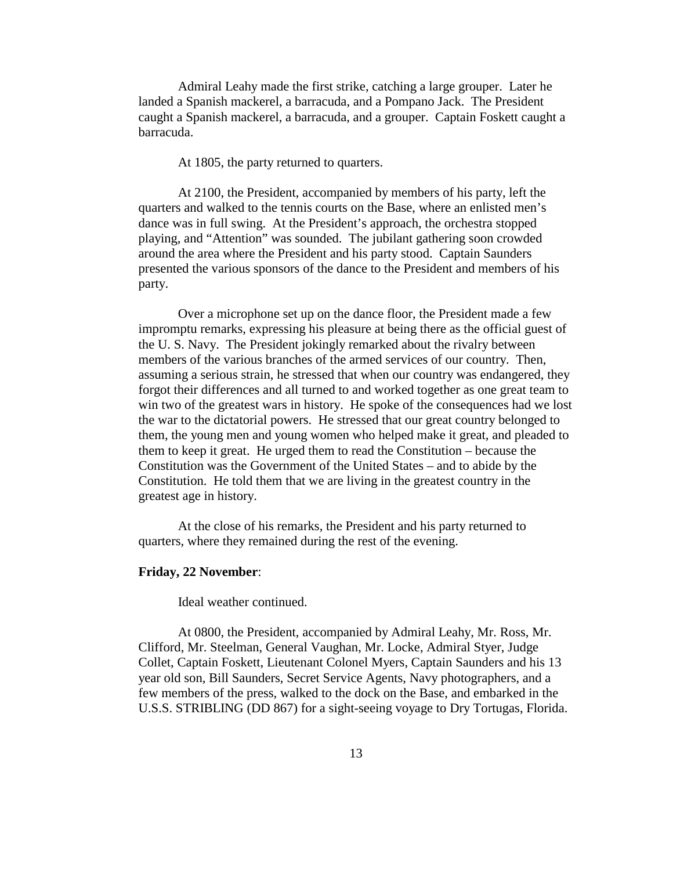Admiral Leahy made the first strike, catching a large grouper. Later he landed a Spanish mackerel, a barracuda, and a Pompano Jack. The President caught a Spanish mackerel, a barracuda, and a grouper. Captain Foskett caught a barracuda.

At 1805, the party returned to quarters.

 At 2100, the President, accompanied by members of his party, left the quarters and walked to the tennis courts on the Base, where an enlisted men's dance was in full swing. At the President's approach, the orchestra stopped playing, and "Attention" was sounded. The jubilant gathering soon crowded around the area where the President and his party stood. Captain Saunders presented the various sponsors of the dance to the President and members of his party.

 Over a microphone set up on the dance floor, the President made a few impromptu remarks, expressing his pleasure at being there as the official guest of the U. S. Navy. The President jokingly remarked about the rivalry between members of the various branches of the armed services of our country. Then, assuming a serious strain, he stressed that when our country was endangered, they forgot their differences and all turned to and worked together as one great team to win two of the greatest wars in history. He spoke of the consequences had we lost the war to the dictatorial powers. He stressed that our great country belonged to them, the young men and young women who helped make it great, and pleaded to them to keep it great. He urged them to read the Constitution – because the Constitution was the Government of the United States – and to abide by the Constitution. He told them that we are living in the greatest country in the greatest age in history.

 At the close of his remarks, the President and his party returned to quarters, where they remained during the rest of the evening.

#### **Friday, 22 November**:

Ideal weather continued.

 At 0800, the President, accompanied by Admiral Leahy, Mr. Ross, Mr. Clifford, Mr. Steelman, General Vaughan, Mr. Locke, Admiral Styer, Judge Collet, Captain Foskett, Lieutenant Colonel Myers, Captain Saunders and his 13 year old son, Bill Saunders, Secret Service Agents, Navy photographers, and a few members of the press, walked to the dock on the Base, and embarked in the U.S.S. STRIBLING (DD 867) for a sight-seeing voyage to Dry Tortugas, Florida.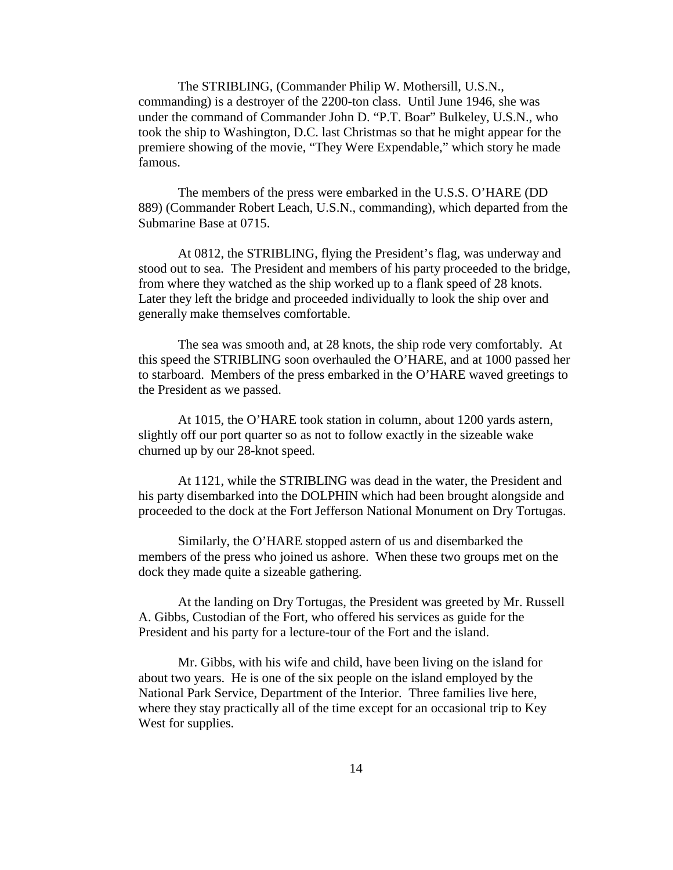The STRIBLING, (Commander Philip W. Mothersill, U.S.N., commanding) is a destroyer of the 2200-ton class. Until June 1946, she was under the command of Commander John D. "P.T. Boar" Bulkeley, U.S.N., who took the ship to Washington, D.C. last Christmas so that he might appear for the premiere showing of the movie, "They Were Expendable," which story he made famous.

 The members of the press were embarked in the U.S.S. O'HARE (DD 889) (Commander Robert Leach, U.S.N., commanding), which departed from the Submarine Base at 0715.

 At 0812, the STRIBLING, flying the President's flag, was underway and stood out to sea. The President and members of his party proceeded to the bridge, from where they watched as the ship worked up to a flank speed of 28 knots. Later they left the bridge and proceeded individually to look the ship over and generally make themselves comfortable.

 The sea was smooth and, at 28 knots, the ship rode very comfortably. At this speed the STRIBLING soon overhauled the O'HARE, and at 1000 passed her to starboard. Members of the press embarked in the O'HARE waved greetings to the President as we passed.

 At 1015, the O'HARE took station in column, about 1200 yards astern, slightly off our port quarter so as not to follow exactly in the sizeable wake churned up by our 28-knot speed.

 At 1121, while the STRIBLING was dead in the water, the President and his party disembarked into the DOLPHIN which had been brought alongside and proceeded to the dock at the Fort Jefferson National Monument on Dry Tortugas.

 Similarly, the O'HARE stopped astern of us and disembarked the members of the press who joined us ashore. When these two groups met on the dock they made quite a sizeable gathering.

 At the landing on Dry Tortugas, the President was greeted by Mr. Russell A. Gibbs, Custodian of the Fort, who offered his services as guide for the President and his party for a lecture-tour of the Fort and the island.

 Mr. Gibbs, with his wife and child, have been living on the island for about two years. He is one of the six people on the island employed by the National Park Service, Department of the Interior. Three families live here, where they stay practically all of the time except for an occasional trip to Key West for supplies.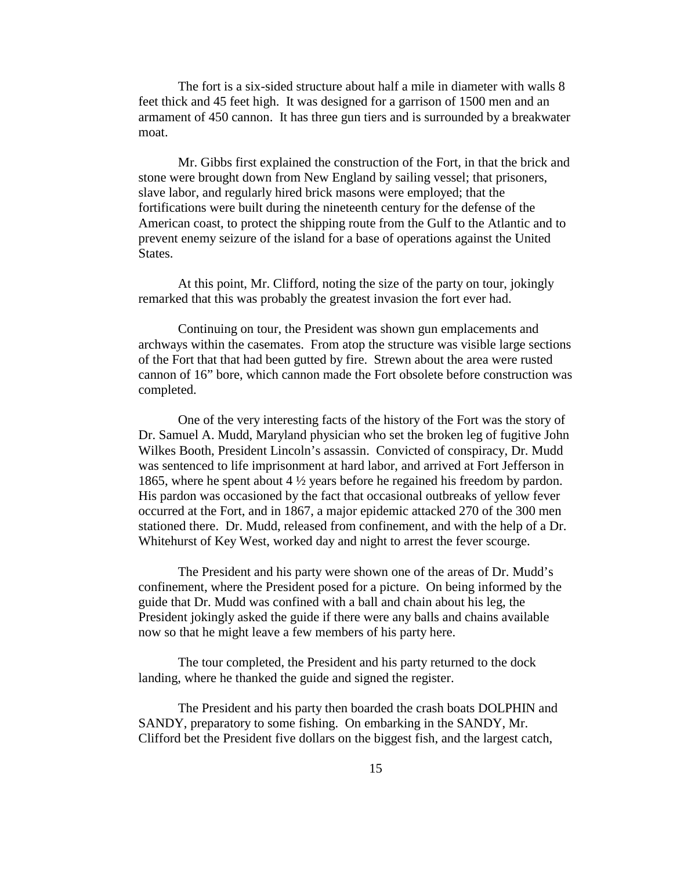The fort is a six-sided structure about half a mile in diameter with walls 8 feet thick and 45 feet high. It was designed for a garrison of 1500 men and an armament of 450 cannon. It has three gun tiers and is surrounded by a breakwater moat.

Mr. Gibbs first explained the construction of the Fort, in that the brick and stone were brought down from New England by sailing vessel; that prisoners, slave labor, and regularly hired brick masons were employed; that the fortifications were built during the nineteenth century for the defense of the American coast, to protect the shipping route from the Gulf to the Atlantic and to prevent enemy seizure of the island for a base of operations against the United States.

At this point, Mr. Clifford, noting the size of the party on tour, jokingly remarked that this was probably the greatest invasion the fort ever had.

Continuing on tour, the President was shown gun emplacements and archways within the casemates. From atop the structure was visible large sections of the Fort that that had been gutted by fire. Strewn about the area were rusted cannon of 16" bore, which cannon made the Fort obsolete before construction was completed.

One of the very interesting facts of the history of the Fort was the story of Dr. Samuel A. Mudd, Maryland physician who set the broken leg of fugitive John Wilkes Booth, President Lincoln's assassin. Convicted of conspiracy, Dr. Mudd was sentenced to life imprisonment at hard labor, and arrived at Fort Jefferson in 1865, where he spent about 4 ½ years before he regained his freedom by pardon. His pardon was occasioned by the fact that occasional outbreaks of yellow fever occurred at the Fort, and in 1867, a major epidemic attacked 270 of the 300 men stationed there. Dr. Mudd, released from confinement, and with the help of a Dr. Whitehurst of Key West, worked day and night to arrest the fever scourge.

The President and his party were shown one of the areas of Dr. Mudd's confinement, where the President posed for a picture. On being informed by the guide that Dr. Mudd was confined with a ball and chain about his leg, the President jokingly asked the guide if there were any balls and chains available now so that he might leave a few members of his party here.

The tour completed, the President and his party returned to the dock landing, where he thanked the guide and signed the register.

The President and his party then boarded the crash boats DOLPHIN and SANDY, preparatory to some fishing. On embarking in the SANDY, Mr. Clifford bet the President five dollars on the biggest fish, and the largest catch,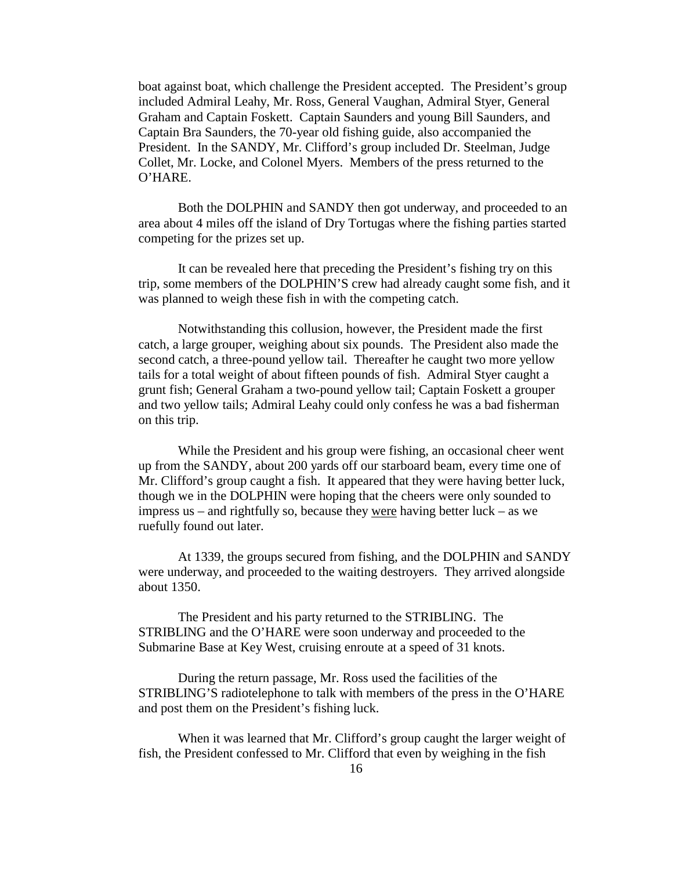boat against boat, which challenge the President accepted. The President's group included Admiral Leahy, Mr. Ross, General Vaughan, Admiral Styer, General Graham and Captain Foskett. Captain Saunders and young Bill Saunders, and Captain Bra Saunders, the 70-year old fishing guide, also accompanied the President. In the SANDY, Mr. Clifford's group included Dr. Steelman, Judge Collet, Mr. Locke, and Colonel Myers. Members of the press returned to the O'HARE.

 Both the DOLPHIN and SANDY then got underway, and proceeded to an area about 4 miles off the island of Dry Tortugas where the fishing parties started competing for the prizes set up.

 It can be revealed here that preceding the President's fishing try on this trip, some members of the DOLPHIN'S crew had already caught some fish, and it was planned to weigh these fish in with the competing catch.

 Notwithstanding this collusion, however, the President made the first catch, a large grouper, weighing about six pounds. The President also made the second catch, a three-pound yellow tail. Thereafter he caught two more yellow tails for a total weight of about fifteen pounds of fish. Admiral Styer caught a grunt fish; General Graham a two-pound yellow tail; Captain Foskett a grouper and two yellow tails; Admiral Leahy could only confess he was a bad fisherman on this trip.

 While the President and his group were fishing, an occasional cheer went up from the SANDY, about 200 yards off our starboard beam, every time one of Mr. Clifford's group caught a fish. It appeared that they were having better luck, though we in the DOLPHIN were hoping that the cheers were only sounded to impress us – and rightfully so, because they were having better luck – as we ruefully found out later.

 At 1339, the groups secured from fishing, and the DOLPHIN and SANDY were underway, and proceeded to the waiting destroyers. They arrived alongside about 1350.

 The President and his party returned to the STRIBLING. The STRIBLING and the O'HARE were soon underway and proceeded to the Submarine Base at Key West, cruising enroute at a speed of 31 knots.

 During the return passage, Mr. Ross used the facilities of the STRIBLING'S radiotelephone to talk with members of the press in the O'HARE and post them on the President's fishing luck.

 When it was learned that Mr. Clifford's group caught the larger weight of fish, the President confessed to Mr. Clifford that even by weighing in the fish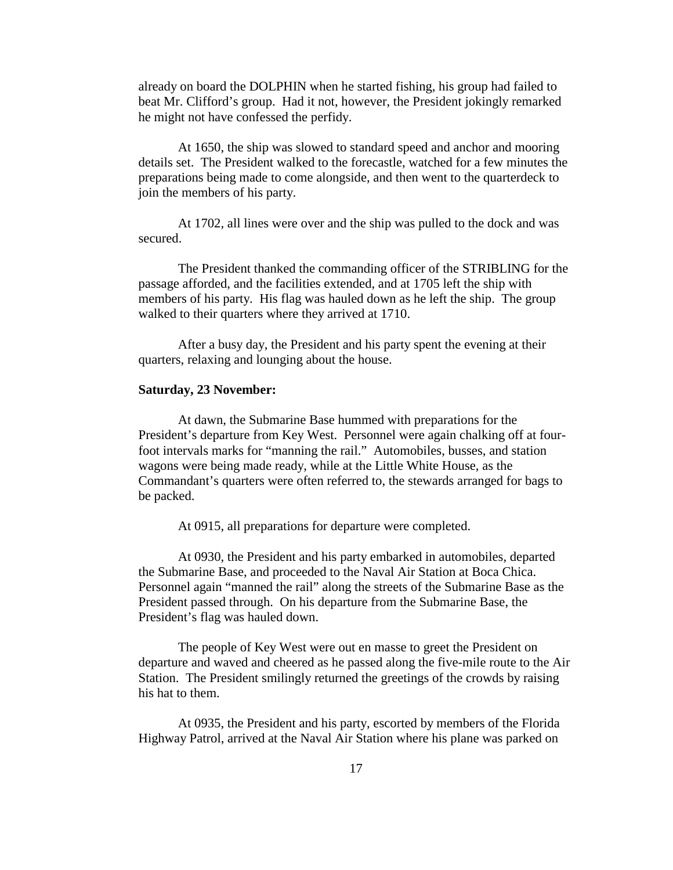already on board the DOLPHIN when he started fishing, his group had failed to beat Mr. Clifford's group. Had it not, however, the President jokingly remarked he might not have confessed the perfidy.

 At 1650, the ship was slowed to standard speed and anchor and mooring details set. The President walked to the forecastle, watched for a few minutes the preparations being made to come alongside, and then went to the quarterdeck to join the members of his party.

 At 1702, all lines were over and the ship was pulled to the dock and was secured.

 The President thanked the commanding officer of the STRIBLING for the passage afforded, and the facilities extended, and at 1705 left the ship with members of his party. His flag was hauled down as he left the ship. The group walked to their quarters where they arrived at 1710.

 After a busy day, the President and his party spent the evening at their quarters, relaxing and lounging about the house.

#### **Saturday, 23 November:**

 At dawn, the Submarine Base hummed with preparations for the President's departure from Key West. Personnel were again chalking off at fourfoot intervals marks for "manning the rail." Automobiles, busses, and station wagons were being made ready, while at the Little White House, as the Commandant's quarters were often referred to, the stewards arranged for bags to be packed.

At 0915, all preparations for departure were completed.

 At 0930, the President and his party embarked in automobiles, departed the Submarine Base, and proceeded to the Naval Air Station at Boca Chica. Personnel again "manned the rail" along the streets of the Submarine Base as the President passed through. On his departure from the Submarine Base, the President's flag was hauled down.

 The people of Key West were out en masse to greet the President on departure and waved and cheered as he passed along the five-mile route to the Air Station. The President smilingly returned the greetings of the crowds by raising his hat to them.

 At 0935, the President and his party, escorted by members of the Florida Highway Patrol, arrived at the Naval Air Station where his plane was parked on